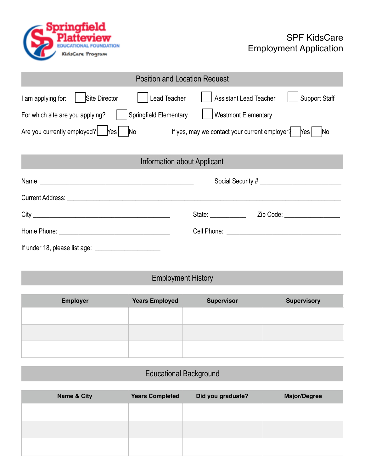

| <b>Position and Location Request</b>                                                        |                                                                 |  |  |  |  |
|---------------------------------------------------------------------------------------------|-----------------------------------------------------------------|--|--|--|--|
| I am applying for:   Site Director<br>Lead Teacher                                          | Assistant Lead Teacher<br><b>Support Staff</b>                  |  |  |  |  |
| Springfield Elementary<br><b>Westmont Elementary</b><br>For which site are you applying?    |                                                                 |  |  |  |  |
| Are you currently employed? Mes   No If yes, may we contact your current employer? Mes   No |                                                                 |  |  |  |  |
| Information about Applicant                                                                 |                                                                 |  |  |  |  |
|                                                                                             |                                                                 |  |  |  |  |
|                                                                                             |                                                                 |  |  |  |  |
|                                                                                             | State: <u>www.community.com</u><br>Zip Code: __________________ |  |  |  |  |
|                                                                                             |                                                                 |  |  |  |  |
| If under 18, please list age: $\frac{1}{2}$                                                 |                                                                 |  |  |  |  |

## Employment History

| <b>Employer</b> | <b>Years Employed</b> | <b>Supervisor</b> | <b>Supervisory</b> |
|-----------------|-----------------------|-------------------|--------------------|
|                 |                       |                   |                    |
|                 |                       |                   |                    |
|                 |                       |                   |                    |
|                 |                       |                   |                    |

## Educational Background

| <b>Name &amp; City</b> | <b>Years Completed</b> | Did you graduate? | <b>Major/Degree</b> |
|------------------------|------------------------|-------------------|---------------------|
|                        |                        |                   |                     |
|                        |                        |                   |                     |
|                        |                        |                   |                     |
|                        |                        |                   |                     |
|                        |                        |                   |                     |